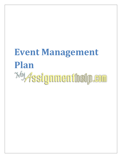# **Event Management Plan***<b><i><u>My Assignmenthelp.em</u>*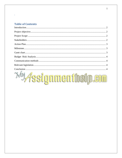# **Table of Contents**

 $\hat{\mathbf{v}}$ 

| <b><i>My Assignmenthelp.com</i></b> |  |
|-------------------------------------|--|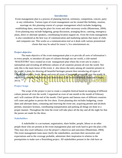#### **Introduction**

<span id="page-2-0"></span>Event management plan is a process of planning festival, ceremony, competition, concert, party or any celebration. Various types of event management can be created like birthday, reunion, marriage etc this planning consist of a proper management which includes budgeting, establishing dates, reserving the place for event and other necessary works (Masterman, 2004). Even planning may include budgeting, group discussion, arranging decor, catering, emergency plans, direct or alternate speakers, coordinating location support etc. Even the event management is also considered as the best way of communication and marketing options that many of clubs and companies use. This works as a communication tool as it deals with various promotional clients that may be asked for music's, live entertainment etc.

#### <span id="page-2-1"></span>**Project objective**

The main objective of the event management plan is to provide all sorts of information's to every people, to introduce all types of cultures through out our world, a club named 'MAEJESTRO' have created an event management plan where the event sets to create a nationalism and revealing all different cultures of all countries present all over the world. Not only this is the main factor of the event, it also shows the unity among all countries present in the world, it plans for showing all beautiful heritages present then introducing all types of cultures, creativities, foods, songs and even all types of languages present all over the world. It organized a complete relationship and memoranda of the world (Whitford, Dunn and Cooper, 2013).

## <span id="page-2-2"></span>**Project Scope**

The scope of the project is just to create a complete festival based on merging of different culture present all over the world. I organised an even of one month in the month of February and i will continue till the end of the month. Chief guests and famous stars of different countries will come and gather to persist the live show. Event planning also includes budgeting, create dates and alternate dates, contasting and reserving the event site, acquiring permitt and alcohols permits, insurance licenses, coordinating transportation and parking all things are done in a proper manner. Throughout the time the event will take place all the day and all the night for that the passes are made for the show.

## <span id="page-2-3"></span>**Stakeholders**

A stakeholder is a accountant, organisation, share holder, people, labour or an other people those who are present at the event management plan and work hard to give the plan a life. They may also exert influence over the project's objectives and outcomes (Masterman, 2004). The event management team must clarify the stakeholders, ascertain their necessities and expectations and to the coverage probable, administer their inspiration in relation to the prerequisites to make sure a flourishing project. All stakeholders present in the club have an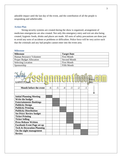adorable impact until the last day of the event, and the contribution of all the people is unspeaking and unbelievable.

# <span id="page-3-0"></span>**Action Plan**

Strong security systems are created during the show is organized, arrangement of medicines emergencies are also created. Not only this emergency entry and exit are also being created, hygienic foods, drinks and places are made. All sorts of safety precautions are done just to avoid any sorts of accidents or problems or difficulties. Police force will be very active such that the criminals and any bad peoples cannot enter into the event area.

### <span id="page-3-1"></span>**Milestone**

| <b>Milestone</b>                | <b>Target Date</b> |
|---------------------------------|--------------------|
| Human Resource Volunteer        | <b>First Month</b> |
| <b>Proper Budget Allocation</b> | Second Month       |
| <b>Selecting Location</b>       | <b>First Month</b> |
| Sponsorship                     | <b>Fifth Month</b> |

<span id="page-3-2"></span>

| Month before the event<br>$-3$<br>$-2$<br>$-5$<br>$-1$<br>$-6$<br>$-4$ |  |
|------------------------------------------------------------------------|--|
|                                                                        |  |
|                                                                        |  |
|                                                                        |  |
| <b>Initial Planning Meeting</b>                                        |  |
| Write the budget                                                       |  |
| <b>Entertainments Bookings</b>                                         |  |
| <b>Publicity Design</b>                                                |  |
| <b>Publicity Printing</b>                                              |  |
| <b>Publicity Distribution</b>                                          |  |
| <b>Set Price/ Review budget</b>                                        |  |
| <b>Ticket Printing</b>                                                 |  |
| <b>Ticket Selling</b>                                                  |  |
| <b>Press Release Written</b>                                           |  |
| <b>Facebook Event Page set up</b>                                      |  |
| <b>Tech &amp; Decoration Planning</b>                                  |  |
| On the night management                                                |  |
| <b>Review</b>                                                          |  |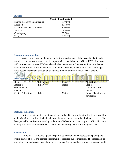#### <span id="page-4-0"></span>**Budget**

| <b>Multicultural festival</b> |          |  |  |
|-------------------------------|----------|--|--|
| Human Resource Volunteering   | \$10,000 |  |  |
| Location                      | \$15,000 |  |  |
| Event management Expenses     | \$20,000 |  |  |
| Subtotal                      | \$45,000 |  |  |
| Contingency                   | \$5,000  |  |  |
| Total                         | \$50,000 |  |  |

# <span id="page-4-1"></span>**Communication methods**

d a

Various procedures are being made for the advertisement of the event, firstly it can be founded on all websites as ads and all coupons will be available there (Getz, 1997). The event will be forecasted on ever TV channels and advertisements are done and various hand leaves were made. Various sponsors were also pointed for the show, in every high ways and bridges large posters were made through all this things it would definitely move to ever people. bet kar

<span id="page-4-2"></span>

| <b>Risk Analysis</b> |          |       |                     |
|----------------------|----------|-------|---------------------|
| <b>Risk</b>          | ikelihoo | mpact | <b>Mitigation</b>   |
| Improper             | Likely   | Major | Proper              |
| communication        |          |       | communication       |
| method               |          |       | method              |
| Capital Allocation   | Likely   | Major | Proper Planning and |
|                      |          |       | forecasting         |

#### **Relevant legislation**

During organising, the event management related to the multicultural festival several law and legislation are followed which help to maintain the legal issue related with the project. The law applicable in this case according to the Australia law is social security act 1991, which help to keep and preserve the security of social issue and society in the Australia (Getz, 1997).

# <span id="page-4-3"></span>**Conclusion**

Multicultural festival is a place for public celebration, which represent displaying the ethnic culture of local and domestic communities resettled due to migration. The report help to provide a clear and precise idea about the event management and how a project manager should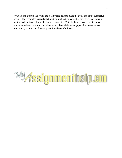evaluate and execute the event, and side by side helps to make the event one of the successful events. The report also suggests that multicultural festival consist of three key characteristic cultural celebration, cultural identity and expression. With the help if event organization of multicultural festival allow both ethnic minorities and dominant population the option and opportunity to mix with the family and friend (Bamford, 1991).

*<b><i><u>My Assignmenthelp.com</u>*